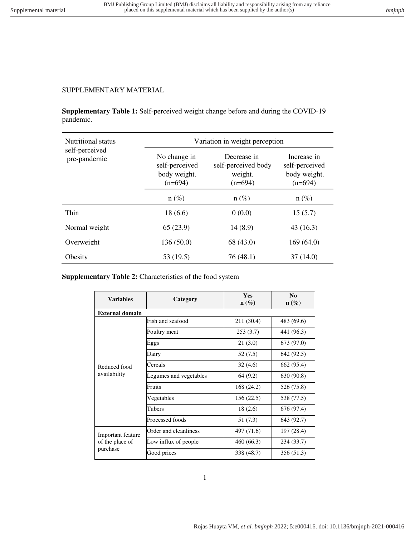## SUPPLEMENTARY MATERIAL

**Supplementary Table 1:** Self-perceived weight change before and during the COVID-19 pandemic.

| Nutritional status<br>self-perceived<br>pre-pandemic | Variation in weight perception                              |                                                            |                                                            |  |
|------------------------------------------------------|-------------------------------------------------------------|------------------------------------------------------------|------------------------------------------------------------|--|
|                                                      | No change in<br>self-perceived<br>body weight.<br>$(n=694)$ | Decrease in<br>self-perceived body<br>weight.<br>$(n=694)$ | Increase in<br>self-perceived<br>body weight.<br>$(n=694)$ |  |
|                                                      | $n(\%)$                                                     | $n(\%)$                                                    | $n(\%)$                                                    |  |
| Thin                                                 | 18(6.6)                                                     | 0(0.0)                                                     | 15(5.7)                                                    |  |
| Normal weight                                        | 65(23.9)                                                    | 14(8.9)                                                    | 43 (16.3)                                                  |  |
| Overweight                                           | 136(50.0)                                                   | 68 (43.0)                                                  | 169(64.0)                                                  |  |
| Obesity                                              | 53 (19.5)                                                   | 76(48.1)                                                   | 37 (14.0)                                                  |  |

**Supplementary Table 2:** Characteristics of the food system

| <b>Variables</b>                                 | Category               | <b>Yes</b><br>$n(\%)$ | No<br>$n(\%)$ |  |  |  |
|--------------------------------------------------|------------------------|-----------------------|---------------|--|--|--|
| <b>External domain</b>                           |                        |                       |               |  |  |  |
| Reduced food<br>availability                     | Fish and seafood       | 211 (30.4)            | 483 (69.6)    |  |  |  |
|                                                  | Poultry meat           | 253(3.7)              | 441 (96.3)    |  |  |  |
|                                                  | Eggs                   | 21(3.0)               | 673 (97.0)    |  |  |  |
|                                                  | Dairy                  | 52(7.5)               | 642 (92.5)    |  |  |  |
|                                                  | Cereals                | 32(4.6)               | 662 (95.4)    |  |  |  |
|                                                  | Legumes and vegetables | 64 (9.2)              | 630 (90.8)    |  |  |  |
|                                                  | Fruits                 | 168 (24.2)            | 526 (75.8)    |  |  |  |
|                                                  | Vegetables             | 156(22.5)             | 538 (77.5)    |  |  |  |
|                                                  | Tubers                 | 18(2.6)               | 676 (97.4)    |  |  |  |
|                                                  | Processed foods        | 51 (7.3)              | 643 (92.7)    |  |  |  |
| Important feature<br>of the place of<br>purchase | Order and cleanliness  | 497 (71.6)            | 197 (28.4)    |  |  |  |
|                                                  | Low influx of people   | 460 (66.3)            | 234 (33.7)    |  |  |  |
|                                                  | Good prices            | 338 (48.7)            | 356(51.3)     |  |  |  |

1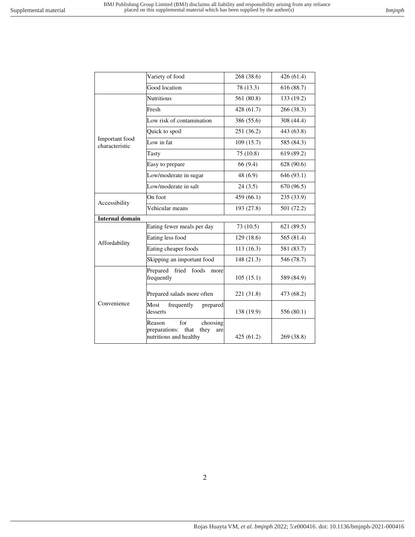|                                  | Variety of food                                                                             | 268 (38.6) | 426 (61.4) |
|----------------------------------|---------------------------------------------------------------------------------------------|------------|------------|
|                                  | Good location                                                                               | 78 (13.3)  | 616 (88.7) |
| Important food<br>characteristic | <b>Nutritious</b>                                                                           | 561 (80.8) | 133(19.2)  |
|                                  | Fresh                                                                                       | 428 (61.7) | 266 (38.3) |
|                                  | Low risk of contamination                                                                   | 386 (55.6) | 308 (44.4) |
|                                  | Quick to spoil                                                                              | 251 (36.2) | 443 (63.8) |
|                                  | Low in fat                                                                                  | 109(15.7)  | 585 (84.3) |
|                                  | Tasty                                                                                       | 75 (10.8)  | 619 (89.2) |
|                                  | Easy to prepare                                                                             | 66 (9.4)   | 628 (90.6) |
|                                  | Low/moderate in sugar                                                                       | 48(6.9)    | 646 (93.1) |
|                                  | Low/moderate in salt                                                                        | 24(3.5)    | 670 (96.5) |
|                                  | On foot                                                                                     | 459 (66.1) | 235(33.9)  |
| Accessibility                    | Vehicular means                                                                             | 193 (27.8) | 501 (72.2) |
| <b>Internal domain</b>           |                                                                                             |            |            |
| Affordability                    | Eating fewer meals per day                                                                  | 73 (10.5)  | 621 (89.5) |
|                                  | Eating less food                                                                            | 129(18.6)  | 565 (81.4) |
|                                  | Eating cheaper foods                                                                        | 113(16.3)  | 581 (83.7) |
| Convenience                      | Skipping an important food                                                                  | 148(21.3)  | 546 (78.7) |
|                                  | fried<br>Prepared<br>foods<br>more<br>frequently                                            | 105(15.1)  | 589 (84.9) |
|                                  | Prepared salads more often                                                                  | 221 (31.8) | 473 (68.2) |
|                                  | Most<br>frequently<br>prepared<br>desserts                                                  | 138 (19.9) | 556 (80.1) |
|                                  | for<br>choosing<br>Reason<br>preparations:<br>that<br>they<br>are<br>nutritious and healthy | 425(61.2)  | 269 (38.8) |

2